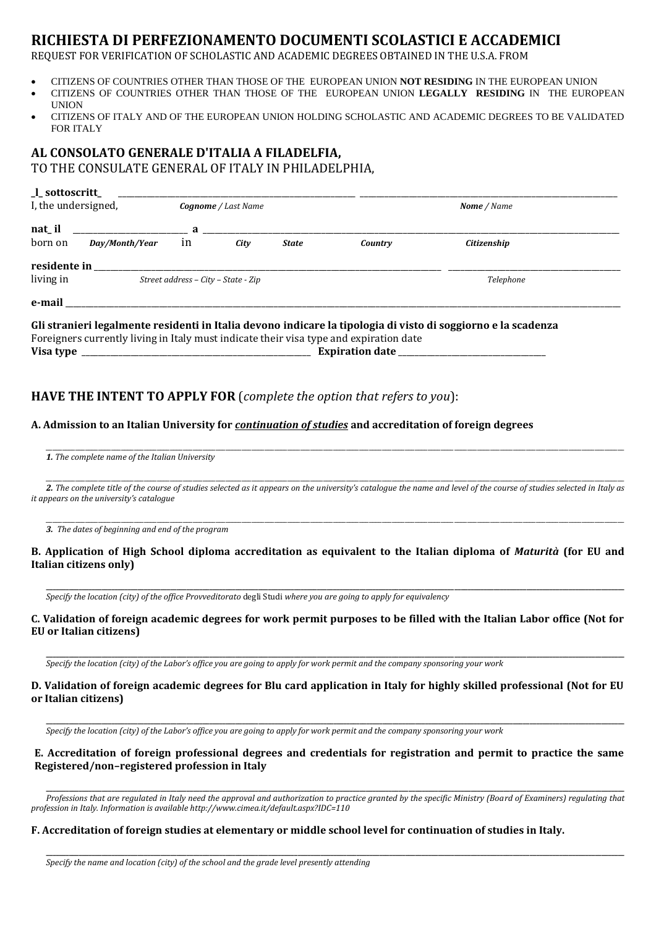# **RICHIESTA DI PERFEZIONAMENTO DOCUMENTI SCOLASTICI E ACCADEMICI**

REQUEST FOR VERIFICATION OF SCHOLASTIC AND ACADEMIC DEGREES OBTAINED IN THE U.S.A. FROM

- CITIZENS OF COUNTRIES OTHER THAN THOSE OF THE EUROPEAN UNION **NOT RESIDING** IN THE EUROPEAN UNION
- CITIZENS OF COUNTRIES OTHER THAN THOSE OF THE EUROPEAN UNION **LEGALLY RESIDING** IN THE EUROPEAN UNION
- CITIZENS OF ITALY AND OF THE EUROPEAN UNION HOLDING SCHOLASTIC AND ACADEMIC DEGREES TO BE VALIDATED FOR ITALY

# **AL CONSOLATO GENERALE D'ITALIA A FILADELFIA,** TO THE CONSULATE GENERAL OF ITALY IN PHILADELPHIA,

| _l_sottoscritt_<br>I, the undersigned, |                                     | <b>Cognome</b> / Last Name |                                                                                                                                                                                                                                                                                                  |              | Nome / Name |             |
|----------------------------------------|-------------------------------------|----------------------------|--------------------------------------------------------------------------------------------------------------------------------------------------------------------------------------------------------------------------------------------------------------------------------------------------|--------------|-------------|-------------|
| nat il                                 |                                     |                            | $\mathbf{a}$ and $\mathbf{a}$ and $\mathbf{a}$ and $\mathbf{a}$ and $\mathbf{a}$ and $\mathbf{a}$ and $\mathbf{a}$ and $\mathbf{a}$ and $\mathbf{a}$ and $\mathbf{a}$ and $\mathbf{a}$ and $\mathbf{a}$ and $\mathbf{a}$ and $\mathbf{a}$ and $\mathbf{a}$ and $\mathbf{a}$ and $\mathbf{a}$ and |              |             |             |
| born on                                | Day/Month/Year                      | in                         | City                                                                                                                                                                                                                                                                                             | <b>State</b> | Country     | Citizenship |
| residente in                           |                                     |                            |                                                                                                                                                                                                                                                                                                  |              |             |             |
| living in                              | Street address - City - State - Zip |                            |                                                                                                                                                                                                                                                                                                  |              |             | Telephone   |
|                                        |                                     |                            |                                                                                                                                                                                                                                                                                                  |              |             |             |

Foreigners currently living in Italy must indicate their visa type and expiration date **Visa type** \_\_\_\_\_\_\_\_\_\_\_\_\_\_\_\_\_\_\_\_\_\_\_\_\_\_\_\_\_\_\_\_\_\_\_\_\_\_\_\_\_\_\_\_\_\_\_\_\_\_\_\_\_\_\_\_ **Expiration date** \_\_\_\_\_\_\_\_\_\_\_\_\_\_\_\_\_\_\_\_\_\_\_\_\_\_\_\_\_\_\_\_\_\_\_\_

### **HAVE THE INTENT TO APPLY FOR** (*complete the option that refers to you*):

### **A. Admission to an Italian University for** *continuation of studies* **and accreditation of foreign degrees**

\_\_\_\_\_\_\_\_\_\_\_\_\_\_\_\_\_\_\_\_\_\_\_\_\_\_\_\_\_\_\_\_\_\_\_\_\_\_\_\_\_\_\_\_\_\_\_\_\_\_\_\_\_\_\_\_\_\_\_\_\_\_\_\_\_\_\_\_\_\_\_\_\_\_\_\_\_\_\_\_\_\_\_\_\_\_\_\_\_\_\_\_\_\_\_\_\_\_\_\_\_\_\_\_\_\_\_\_\_\_\_\_\_\_\_\_\_\_\_\_\_\_\_\_\_\_\_\_\_\_\_\_\_\_\_\_\_\_\_\_\_\_\_\_\_\_\_\_\_\_\_\_\_\_\_\_\_\_\_\_\_\_\_\_\_\_\_\_\_\_\_\_\_\_\_\_\_ *1. The complete name of the Italian University*

\_\_\_\_\_\_\_\_\_\_\_\_\_\_\_\_\_\_\_\_\_\_\_\_\_\_\_\_\_\_\_\_\_\_\_\_\_\_\_\_\_\_\_\_\_\_\_\_\_\_\_\_\_\_\_\_\_\_\_\_\_\_\_\_\_\_\_\_\_\_\_\_\_\_\_\_\_\_\_\_\_\_\_\_\_\_\_\_\_\_\_\_\_\_\_\_\_\_\_\_\_\_\_\_\_\_\_\_\_\_\_\_\_\_\_\_\_\_\_\_\_\_\_\_\_\_\_\_\_\_\_\_\_\_\_\_\_\_\_\_\_\_\_\_\_\_\_\_\_\_\_\_\_\_\_\_\_\_\_\_\_\_\_\_\_\_\_\_\_\_\_\_\_\_\_\_\_ *2. The complete title of the course of studies selected as it appears on the university's catalogue the name and level of the course of studies selected in Italy as it appears on the university's catalogue* 

\_\_\_\_\_\_\_\_\_\_\_\_\_\_\_\_\_\_\_\_\_\_\_\_\_\_\_\_\_\_\_\_\_\_\_\_\_\_\_\_\_\_\_\_\_\_\_\_\_\_\_\_\_\_\_\_\_\_\_\_\_\_\_\_\_\_\_\_\_\_\_\_\_\_\_\_\_\_\_\_\_\_\_\_\_\_\_\_\_\_\_\_\_\_\_\_\_\_\_\_\_\_\_\_\_\_\_\_\_\_\_\_\_\_\_\_\_\_\_\_\_\_\_\_\_\_\_\_\_\_\_\_\_\_\_\_\_\_\_\_\_\_\_\_\_\_\_\_\_\_\_\_\_\_\_\_\_\_\_\_\_\_\_\_\_\_\_\_\_\_\_\_\_\_\_\_\_ *3. The dates of beginning and end of the program*

### **B. Application of High School diploma accreditation as equivalent to the Italian diploma of** *Maturità* **(for EU and Italian citizens only)**

**\_\_\_\_\_\_\_\_\_\_\_\_\_\_\_\_\_\_\_\_\_\_\_\_\_\_\_\_\_\_\_\_\_\_\_\_\_\_\_\_\_\_\_\_\_\_\_\_\_\_\_\_\_\_\_\_\_\_\_\_\_\_\_\_\_\_\_\_\_\_\_\_\_\_\_\_\_\_\_\_\_\_\_\_\_\_\_\_\_\_\_\_\_\_\_\_\_\_\_\_\_\_\_\_\_\_\_\_\_\_\_\_\_\_\_\_\_\_\_\_\_\_\_\_\_\_\_\_\_\_\_\_\_\_\_\_\_\_\_\_\_\_\_\_\_\_\_\_\_\_\_\_\_\_\_\_\_\_\_\_\_\_\_\_\_\_\_\_\_\_\_\_\_\_\_\_\_**

*Specify the location (city) of the office Provveditorato* degli Studi *where you are going to apply for equivalency*

### **C. Validation of foreign academic degrees for work permit purposes to be filled with the Italian Labor office (Not for EU or Italian citizens)**

**\_\_\_\_\_\_\_\_\_\_\_\_\_\_\_\_\_\_\_\_\_\_\_\_\_\_\_\_\_\_\_\_\_\_\_\_\_\_\_\_\_\_\_\_\_\_\_\_\_\_\_\_\_\_\_\_\_\_\_\_\_\_\_\_\_\_\_\_\_\_\_\_\_\_\_\_\_\_\_\_\_\_\_\_\_\_\_\_\_\_\_\_\_\_\_\_\_\_\_\_\_\_\_\_\_\_\_\_\_\_\_\_\_\_\_\_\_\_\_\_\_\_\_\_\_\_\_\_\_\_\_\_\_\_\_\_\_\_\_\_\_\_\_\_\_\_\_\_\_\_\_\_\_\_\_\_\_\_\_\_\_\_\_\_\_\_\_\_\_\_\_\_\_\_\_\_\_**

*Specify the location (city) of the Labor's office you are going to apply for work permit and the company sponsoring your work*

#### **D. Validation of foreign academic degrees for Blu card application in Italy for highly skilled professional (Not for EU or Italian citizens)**

**\_\_\_\_\_\_\_\_\_\_\_\_\_\_\_\_\_\_\_\_\_\_\_\_\_\_\_\_\_\_\_\_\_\_\_\_\_\_\_\_\_\_\_\_\_\_\_\_\_\_\_\_\_\_\_\_\_\_\_\_\_\_\_\_\_\_\_\_\_\_\_\_\_\_\_\_\_\_\_\_\_\_\_\_\_\_\_\_\_\_\_\_\_\_\_\_\_\_\_\_\_\_\_\_\_\_\_\_\_\_\_\_\_\_\_\_\_\_\_\_\_\_\_\_\_\_\_\_\_\_\_\_\_\_\_\_\_\_\_\_\_\_\_\_\_\_\_\_\_\_\_\_\_\_\_\_\_\_\_\_\_\_\_\_\_\_\_\_\_\_\_\_\_\_\_\_\_**

*Specify the location (city) of the Labor's office you are going to apply for work permit and the company sponsoring your work*

#### **E. Accreditation of foreign professional degrees and credentials for registration and permit to practice the same Registered/non–registered profession in Italy**

**\_\_\_\_\_\_\_\_\_\_\_\_\_\_\_\_\_\_\_\_\_\_\_\_\_\_\_\_\_\_\_\_\_\_\_\_\_\_\_\_\_\_\_\_\_\_\_\_\_\_\_\_\_\_\_\_\_\_\_\_\_\_\_\_\_\_\_\_\_\_\_\_\_\_\_\_\_\_\_\_\_\_\_\_\_\_\_\_\_\_\_\_\_\_\_\_\_\_\_\_\_\_\_\_\_\_\_\_\_\_\_\_\_\_\_\_\_\_\_\_\_\_\_\_\_\_\_\_\_\_\_\_\_\_\_\_\_\_\_\_\_\_\_\_\_\_\_\_\_\_\_\_\_\_\_\_\_\_\_\_\_\_\_\_\_\_\_\_\_\_\_\_\_\_\_\_\_** *Professions that are regulated in Italy need the approval and authorization to practice granted by the specific Ministry (Board of Examiners) regulating that profession in Italy. Information is available http://www.cimea.it/default.aspx?IDC=110* 

**\_\_\_\_\_\_\_\_\_\_\_\_\_\_\_\_\_\_\_\_\_\_\_\_\_\_\_\_\_\_\_\_\_\_\_\_\_\_\_\_\_\_\_\_\_\_\_\_\_\_\_\_\_\_\_\_\_\_\_\_\_\_\_\_\_\_\_\_\_\_\_\_\_\_\_\_\_\_\_\_\_\_\_\_\_\_\_\_\_\_\_\_\_\_\_\_\_\_\_\_\_\_\_\_\_\_\_\_\_\_\_\_\_\_\_\_\_\_\_\_\_\_\_\_\_\_\_\_\_\_\_\_\_\_\_\_\_\_\_\_\_\_\_\_\_\_\_\_\_\_\_\_\_\_\_\_\_\_\_\_\_\_\_\_\_\_\_\_\_\_\_\_\_\_\_\_\_**

#### **F. Accreditation of foreign studies at elementary or middle school level for continuation of studies in Italy.**